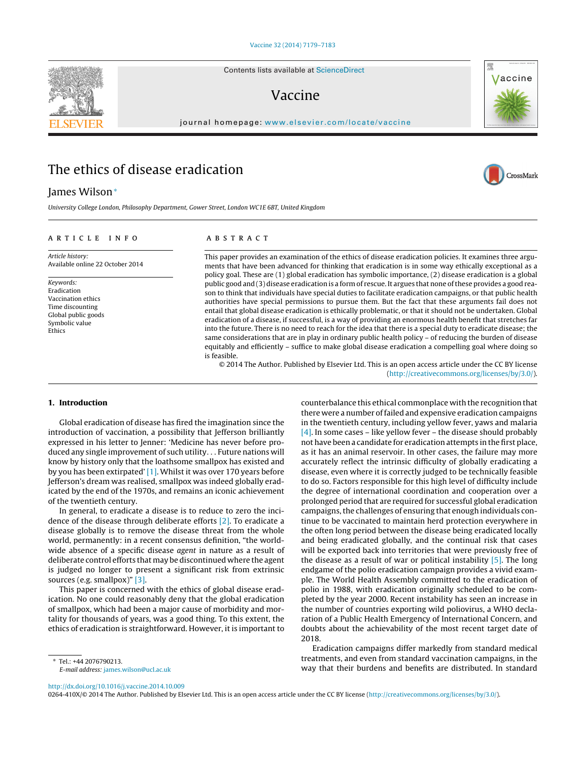Contents lists available at [ScienceDirect](http://www.sciencedirect.com/science/journal/0264410X)

# Vaccine

iournal homepage: [www.elsevier.com/locate/vaccine](http://www.elsevier.com/locate/vaccine)

# The ethics of disease eradication

# James Wilson<sup>∗</sup>

University College London, Philosophy Department, Gower Street, London WC1E 6BT, United Kingdom

#### a r t i c l e i n f o

Article history: Available online 22 October 2014

Keywords: Eradication Vaccination ethics Time discounting Global public goods Symbolic value Ethics

# A B S T R A C T

This paper provides an examination of the ethics of disease eradication policies. It examines three arguments that have been advanced for thinking that eradication is in some way ethically exceptional as a policy goal. These are (1) global eradication has symbolic importance, (2) disease eradication is a global public good and (3) disease eradication is a form of rescue. It argues that none ofthese provides a good reason to think that individuals have special duties to facilitate eradication campaigns, or that public health authorities have special permissions to pursue them. But the fact that these arguments fail does not entail that global disease eradication is ethically problematic, or that it should not be undertaken. Global eradication of a disease, if successful, is a way of providing an enormous health benefit that stretches far into the future. There is no need to reach for the idea that there is a special duty to eradicate disease; the same considerations that are in play in ordinary public health policy – of reducing the burden of disease equitably and efficiently – suffice to make global disease eradication a compelling goal where doing so is feasible.

© 2014 The Author. Published by Elsevier Ltd. This is an open access article under the CC BY license [\(http://creativecommons.org/licenses/by/3.0/](http://creativecommons.org/licenses/by/3.0/)).

### **1. Introduction**

Global eradication of disease has fired the imagination since the introduction of vaccination, a possibility that Jefferson brilliantly expressed in his letter to Jenner: 'Medicine has never before produced any single improvement of such utility. . . Future nations will know by history only that the loathsome smallpox has existed and by you has been extirpated' [\[1\].](#page-3-0) Whilst it was over 170 years before Jefferson's dream was realised, smallpox was indeed globally eradicated by the end of the 1970s, and remains an iconic achievement of the twentieth century.

In general, to eradicate a disease is to reduce to zero the incidence of the disease through deliberate efforts [\[2\].](#page-3-0) To eradicate a disease globally is to remove the disease threat from the whole world, permanently: in a recent consensus definition, "the worldwide absence of a specific disease agent in nature as a result of deliberate control efforts that may be discontinued where the agent is judged no longer to present a significant risk from extrinsic sources (e.g. smallpox)" [\[3\].](#page-3-0)

This paper is concerned with the ethics of global disease eradication. No one could reasonably deny that the global eradication of smallpox, which had been a major cause of morbidity and mortality for thousands of years, was a good thing. To this extent, the ethics of eradication is straightforward. However, it is important to

∗ Tel.: +44 2076790213. E-mail address: [james.wilson@ucl.ac.uk](mailto:james.wilson@ucl.ac.uk) there were a number offailed and expensive eradication campaigns in the twentieth century, including yellow fever, yaws and malaria [\[4\].](#page-3-0) In some cases – like yellow fever – the disease should probably not have been a candidate for eradication attempts in the first place, as it has an animal reservoir. In other cases, the failure may more accurately reflect the intrinsic difficulty of globally eradicating a disease, even where it is correctly judged to be technically feasible to do so. Factors responsible for this high level of difficulty include the degree of international coordination and cooperation over a prolonged period that are required for successful global eradication campaigns, the challenges of ensuring that enough individuals continue to be vaccinated to maintain herd protection everywhere in the often long period between the disease being eradicated locally and being eradicated globally, and the continual risk that cases will be exported back into territories that were previously free of the disease as a result of war or political instability [\[5\].](#page-3-0) The long endgame of the polio eradication campaign provides a vivid example. The World Health Assembly committed to the eradication of polio in 1988, with eradication originally scheduled to be completed by the year 2000. Recent instability has seen an increase in the number of countries exporting wild poliovirus, a WHO declaration of a Public Health Emergency of International Concern, and doubts about the achievability of the most recent target date of 2018.

counterbalance this ethical commonplace with the recognition that

Eradication campaigns differ markedly from standard medical treatments, and even from standard vaccination campaigns, in the way that their burdens and benefits are distributed. In standard

[http://dx.doi.org/10.1016/j.vaccine.2014.10.009](dx.doi.org/10.1016/j.vaccine.2014.10.009)

0264-410X/© 2014 The Author. Published by Elsevier Ltd. This is an open access article under the CC BY license [\(http://creativecommons.org/licenses/by/3.0/](http://creativecommons.org/licenses/by/3.0/)).





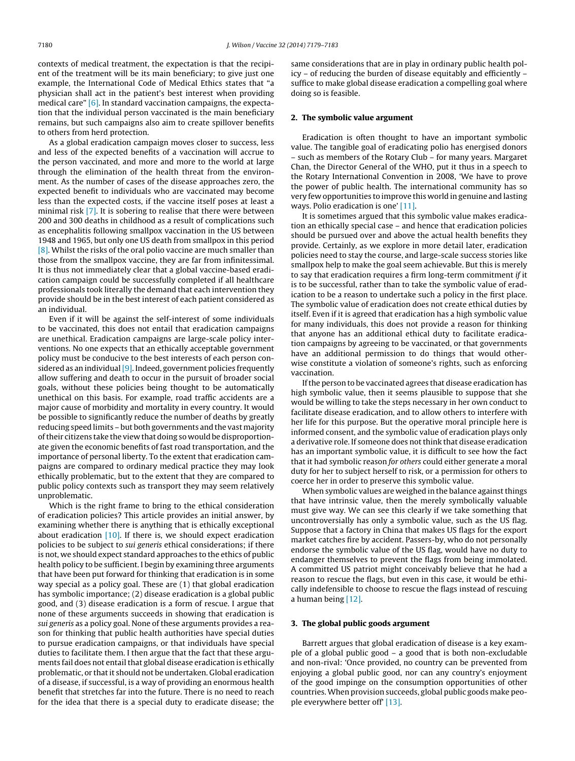contexts of medical treatment, the expectation is that the recipient of the treatment will be its main beneficiary; to give just one example, the International Code of Medical Ethics states that "a physician shall act in the patient's best interest when providing medical care" [\[6\].](#page-4-0) In standard vaccination campaigns, the expectation that the individual person vaccinated is the main beneficiary remains, but such campaigns also aim to create spillover benefits to others from herd protection.

As a global eradication campaign moves closer to success, less and less of the expected benefits of a vaccination will accrue to the person vaccinated, and more and more to the world at large through the elimination of the health threat from the environment. As the number of cases of the disease approaches zero, the expected benefit to individuals who are vaccinated may become less than the expected costs, if the vaccine itself poses at least a minimal risk [\[7\].](#page-4-0) It is sobering to realise that there were between 200 and 300 deaths in childhood as a result of complications such as encephalitis following smallpox vaccination in the US between 1948 and 1965, but only one US death from smallpox in this period [\[8\].](#page-4-0) Whilst the risks of the oral polio vaccine are much smaller than those from the smallpox vaccine, they are far from infinitessimal. It is thus not immediately clear that a global vaccine-based eradication campaign could be successfully completed if all healthcare professionals took literally the demand that each intervention they provide should be in the best interest of each patient considered as an individual.

Even if it will be against the self-interest of some individuals to be vaccinated, this does not entail that eradication campaigns are unethical. Eradication campaigns are large-scale policy interventions. No one expects that an ethically acceptable government policy must be conducive to the best interests of each person considered as an individual  $[9]$ . Indeed, government policies frequently allow suffering and death to occur in the pursuit of broader social goals, without these policies being thought to be automatically unethical on this basis. For example, road traffic accidents are a major cause of morbidity and mortality in every country. It would be possible to significantly reduce the number of deaths by greatly reducing speed limits – but both governments and the vast majority oftheir citizens take the view that doing so would be disproportionate given the economic benefits of fast road transportation, and the importance of personal liberty. To the extent that eradication campaigns are compared to ordinary medical practice they may look ethically problematic, but to the extent that they are compared to public policy contexts such as transport they may seem relatively unproblematic.

Which is the right frame to bring to the ethical consideration of eradication policies? This article provides an initial answer, by examining whether there is anything that is ethically exceptional about eradication  $[10]$ . If there is, we should expect eradication policies to be subject to sui generis ethical considerations; if there is not, we should expect standard approaches to the ethics of public health policy to be sufficient. I begin by examining three arguments that have been put forward for thinking that eradication is in some way special as a policy goal. These are (1) that global eradication has symbolic importance; (2) disease eradication is a global public good, and (3) disease eradication is a form of rescue. I argue that none of these arguments succeeds in showing that eradication is sui generis as a policy goal. None of these arguments provides a reason for thinking that public health authorities have special duties to pursue eradication campaigns, or that individuals have special duties to facilitate them. I then argue that the fact that these arguments fail does not entail that global disease eradication is ethically problematic, or that it should not be undertaken. Global eradication of a disease, if successful, is a way of providing an enormous health benefit that stretches far into the future. There is no need to reach for the idea that there is a special duty to eradicate disease; the

same considerations that are in play in ordinary public health policy – of reducing the burden of disease equitably and efficiently – suffice to make global disease eradication a compelling goal where doing so is feasible.

## **2. The symbolic value argument**

Eradication is often thought to have an important symbolic value. The tangible goal of eradicating polio has energised donors – such as members of the Rotary Club – for many years. Margaret Chan, the Director General of the WHO, put it thus in a speech to the Rotary International Convention in 2008, 'We have to prove the power of public health. The international community has so very few opportunities to improve this world in genuine and lasting ways. Polio eradication is one' [\[11\].](#page-4-0)

It is sometimes argued that this symbolic value makes eradication an ethically special case – and hence that eradication policies should be pursued over and above the actual health benefits they provide. Certainly, as we explore in more detail later, eradication policies need to stay the course, and large-scale success stories like smallpox help to make the goal seem achievable. But this is merely to say that eradication requires a firm long-term commitment if it is to be successful, rather than to take the symbolic value of eradication to be a reason to undertake such a policy in the first place. The symbolic value of eradication does not create ethical duties by itself. Even if it is agreed that eradication has a high symbolic value for many individuals, this does not provide a reason for thinking that anyone has an additional ethical duty to facilitate eradication campaigns by agreeing to be vaccinated, or that governments have an additional permission to do things that would otherwise constitute a violation of someone's rights, such as enforcing vaccination.

Ifthe person to be vaccinated agrees that disease eradication has high symbolic value, then it seems plausible to suppose that she would be willing to take the steps necessary in her own conduct to facilitate disease eradication, and to allow others to interfere with her life for this purpose. But the operative moral principle here is informed consent, and the symbolic value of eradication plays only a derivative role. If someone does not think that disease eradication has an important symbolic value, it is difficult to see how the fact that it had symbolic reason for others could either generate a moral duty for her to subject herself to risk, or a permission for others to coerce her in order to preserve this symbolic value.

When symbolic values are weighed in the balance against things that have intrinsic value, then the merely symbolically valuable must give way. We can see this clearly if we take something that uncontroversially has only a symbolic value, such as the US flag. Suppose that a factory in China that makes US flags for the export market catches fire by accident. Passers-by, who do not personally endorse the symbolic value of the US flag, would have no duty to endanger themselves to prevent the flags from being immolated. A committed US patriot might conceivably believe that he had a reason to rescue the flags, but even in this case, it would be ethically indefensible to choose to rescue the flags instead of rescuing a human being [\[12\].](#page-4-0)

#### **3. The global public goods argument**

Barrett argues that global eradication of disease is a key example of a global public good – a good that is both non-excludable and non-rival: 'Once provided, no country can be prevented from enjoying a global public good, nor can any country's enjoyment of the good impinge on the consumption opportunities of other countries.When provision succeeds, global public goods make people everywhere better off' [\[13\].](#page-4-0)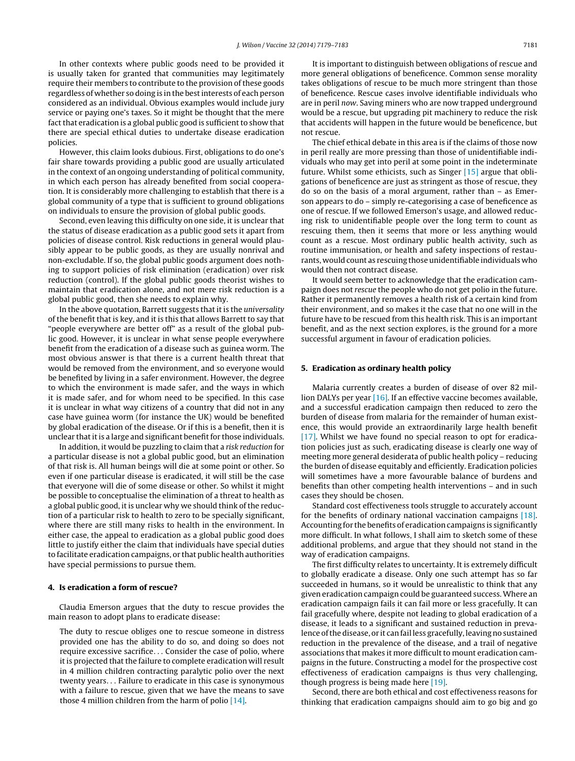In other contexts where public goods need to be provided it is usually taken for granted that communities may legitimately require their members to contribute to the provision of these goods regardless of whether so doing is in the best interests of each person considered as an individual. Obvious examples would include jury service or paying one's taxes. So it might be thought that the mere fact that eradication is a global public good is sufficient to show that there are special ethical duties to undertake disease eradication policies.

However, this claim looks dubious. First, obligations to do one's fair share towards providing a public good are usually articulated in the context of an ongoing understanding of political community, in which each person has already benefited from social cooperation. It is considerably more challenging to establish that there is a global community of a type that is sufficient to ground obligations on individuals to ensure the provision of global public goods.

Second, even leaving this difficulty on one side, it is unclear that the status of disease eradication as a public good sets it apart from policies of disease control. Risk reductions in general would plausibly appear to be public goods, as they are usually nonrival and non-excludable. If so, the global public goods argument does nothing to support policies of risk elimination (eradication) over risk reduction (control). If the global public goods theorist wishes to maintain that eradication alone, and not mere risk reduction is a global public good, then she needs to explain why.

In the above quotation, Barrett suggests that it is the universality of the benefit that is key, and it is this that allows Barrett to say that "people everywhere are better off" as a result of the global public good. However, it is unclear in what sense people everywhere benefit from the eradication of a disease such as guinea worm. The most obvious answer is that there is a current health threat that would be removed from the environment, and so everyone would be benefited by living in a safer environment. However, the degree to which the environment is made safer, and the ways in which it is made safer, and for whom need to be specified. In this case it is unclear in what way citizens of a country that did not in any case have guinea worm (for instance the UK) would be benefited by global eradication of the disease. Or if this is a benefit, then it is unclear that it is a large and significant benefit for those individuals.

In addition, it would be puzzling to claim that a risk reduction for a particular disease is not a global public good, but an elimination of that risk is. All human beings will die at some point or other. So even if one particular disease is eradicated, it will still be the case that everyone will die of some disease or other. So whilst it might be possible to conceptualise the elimination of a threat to health as a global public good, it is unclear why we should think of the reduction of a particular risk to health to zero to be specially significant, where there are still many risks to health in the environment. In either case, the appeal to eradication as a global public good does little to justify either the claim that individuals have special duties to facilitate eradication campaigns, or that public health authorities have special permissions to pursue them.

## **4. Is eradication a form of rescue?**

Claudia Emerson argues that the duty to rescue provides the main reason to adopt plans to eradicate disease:

The duty to rescue obliges one to rescue someone in distress provided one has the ability to do so, and doing so does not require excessive sacrifice. . . Consider the case of polio, where it is projected that the failure to complete eradication will result in 4 million children contracting paralytic polio over the next twenty years. . . Failure to eradicate in this case is synonymous with a failure to rescue, given that we have the means to save those 4 million children from the harm of polio  $[14]$ .

It is important to distinguish between obligations of rescue and more general obligations of beneficence. Common sense morality takes obligations of rescue to be much more stringent than those of beneficence. Rescue cases involve identifiable individuals who are in peril now. Saving miners who are now trapped underground would be a rescue, but upgrading pit machinery to reduce the risk that accidents will happen in the future would be beneficence, but not rescue.

The chief ethical debate in this area is if the claims of those now in peril really are more pressing than those of unidentifiable individuals who may get into peril at some point in the indeterminate future. Whilst some ethicists, such as Singer [\[15\]](#page-4-0) argue that obligations of beneficence are just as stringent as those of rescue, they do so on the basis of a moral argument, rather than – as Emerson appears to do – simply re-categorising a case of beneficence as one of rescue. If we followed Emerson's usage, and allowed reducing risk to unidentifiable people over the long term to count as rescuing them, then it seems that more or less anything would count as a rescue. Most ordinary public health activity, such as routine immunisation, or health and safety inspections of restaurants, would count as rescuing those unidentifiable individuals who would then not contract disease.

It would seem better to acknowledge that the eradication campaign does not rescue the people who do not get polio in the future. Rather it permanently removes a health risk of a certain kind from their environment, and so makes it the case that no one will in the future have to be rescued from this health risk. This is an important benefit, and as the next section explores, is the ground for a more successful argument in favour of eradication policies.

#### **5. Eradication as ordinary health policy**

Malaria currently creates a burden of disease of over 82 million DALYs per year [\[16\].](#page-4-0) If an effective vaccine becomes available, and a successful eradication campaign then reduced to zero the burden of disease from malaria for the remainder of human existence, this would provide an extraordinarily large health benefit [\[17\].](#page-4-0) Whilst we have found no special reason to opt for eradication policies just as such, eradicating disease is clearly one way of meeting more general desiderata of public health policy – reducing the burden of disease equitably and efficiently. Eradication policies will sometimes have a more favourable balance of burdens and benefits than other competing health interventions – and in such cases they should be chosen.

Standard cost effectiveness tools struggle to accurately account for the benefits of ordinary national vaccination campaigns [\[18\].](#page-4-0) Accounting for the benefits of eradication campaigns is significantly more difficult. In what follows, I shall aim to sketch some of these additional problems, and argue that they should not stand in the way of eradication campaigns.

The first difficulty relates to uncertainty. It is extremely difficult to globally eradicate a disease. Only one such attempt has so far succeeded in humans, so it would be unrealistic to think that any given eradication campaign could be guaranteed success. Where an eradication campaign fails it can fail more or less gracefully. It can fail gracefully where, despite not leading to global eradication of a disease, it leads to a significant and sustained reduction in prevalence of the disease, or it can fail less gracefully, leaving no sustained reduction in the prevalence of the disease, and a trail of negative associations that makes it more difficult to mount eradication campaigns in the future. Constructing a model for the prospective cost effectiveness of eradication campaigns is thus very challenging, though progress is being made here [\[19\].](#page-4-0)

Second, there are both ethical and cost effectiveness reasons for thinking that eradication campaigns should aim to go big and go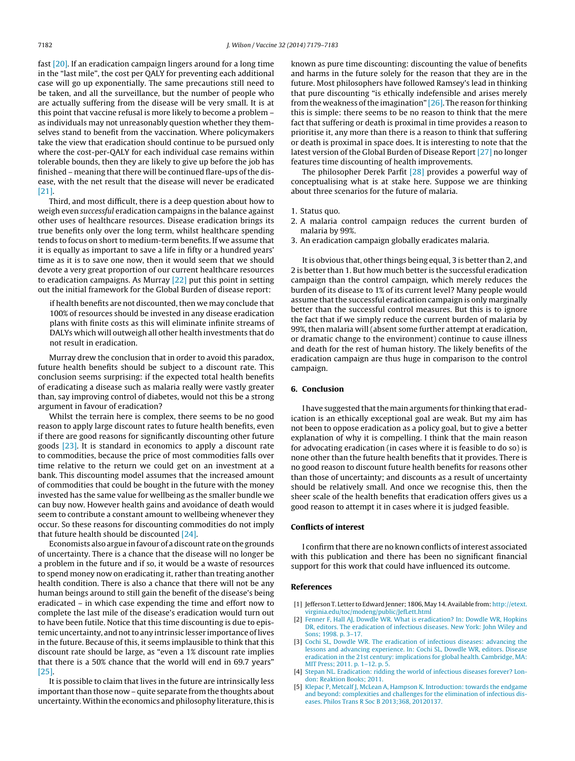<span id="page-3-0"></span>fast [\[20\].](#page-4-0) If an eradication campaign lingers around for a long time in the "last mile", the cost per QALY for preventing each additional case will go up exponentially. The same precautions still need to be taken, and all the surveillance, but the number of people who are actually suffering from the disease will be very small. It is at this point that vaccine refusal is more likely to become a problem – as individuals may not unreasonably question whether they themselves stand to benefit from the vaccination. Where policymakers take the view that eradication should continue to be pursued only where the cost-per-QALY for each individual case remains within tolerable bounds, then they are likely to give up before the job has finished – meaning that there will be continued flare-ups of the disease, with the net result that the disease will never be eradicated [\[21\].](#page-4-0)

Third, and most difficult, there is a deep question about how to weigh even successful eradication campaigns in the balance against other uses of healthcare resources. Disease eradication brings its true benefits only over the long term, whilst healthcare spending tends to focus on short to medium-term benefits. If we assume that it is equally as important to save a life in fifty or a hundred years' time as it is to save one now, then it would seem that we should devote a very great proportion of our current healthcare resources to eradication campaigns. As Murray [\[22\]](#page-4-0) put this point in setting out the initial framework for the Global Burden of disease report:

if health benefits are not discounted, then we may conclude that 100% of resources should be invested in any disease eradication plans with finite costs as this will eliminate infinite streams of DALYs which will outweigh all other health investments that do not result in eradication.

Murray drew the conclusion that in order to avoid this paradox, future health benefits should be subject to a discount rate. This conclusion seems surprising: if the expected total health benefits of eradicating a disease such as malaria really were vastly greater than, say improving control of diabetes, would not this be a strong argument in favour of eradication?

Whilst the terrain here is complex, there seems to be no good reason to apply large discount rates to future health benefits, even if there are good reasons for significantly discounting other future goods [\[23\].](#page-4-0) It is standard in economics to apply a discount rate to commodities, because the price of most commodities falls over time relative to the return we could get on an investment at a bank. This discounting model assumes that the increased amount of commodities that could be bought in the future with the money invested has the same value for wellbeing as the smaller bundle we can buy now. However health gains and avoidance of death would seem to contribute a constant amount to wellbeing whenever they occur. So these reasons for discounting commodities do not imply that future health should be discounted [\[24\].](#page-4-0)

Economists also argue in favour of a discount rate on the grounds of uncertainty. There is a chance that the disease will no longer be a problem in the future and if so, it would be a waste of resources to spend money now on eradicating it, rather than treating another health condition. There is also a chance that there will not be any human beings around to still gain the benefit of the disease's being eradicated – in which case expending the time and effort now to complete the last mile of the disease's eradication would turn out to have been futile. Notice that this time discounting is due to epistemicuncertainty, andnotto any intrinsic lesser importance oflives in the future. Because of this, it seems implausible to think that this discount rate should be large, as "even a 1% discount rate implies that there is a 50% chance that the world will end in 69.7 years" [\[25\].](#page-4-0)

It is possible to claim that lives in the future are intrinsically less important than those now – quite separate from the thoughts about uncertainty. Within the economics and philosophy literature, this is

known as pure time discounting: discounting the value of benefits and harms in the future solely for the reason that they are in the future. Most philosophers have followed Ramsey's lead in thinking that pure discounting "is ethically indefensible and arises merely from the weakness of the imagination"  $[26]$ . The reason for thinking this is simple: there seems to be no reason to think that the mere fact that suffering or death is proximal in time provides a reason to prioritise it, any more than there is a reason to think that suffering or death is proximal in space does. It is interesting to note that the latest version of the Global Burden of Disease Report [\[27\]](#page-4-0) no longer features time discounting of health improvements.

The philosopher Derek Parfit [\[28\]](#page-4-0) provides a powerful way of conceptualising what is at stake here. Suppose we are thinking about three scenarios for the future of malaria.

- 1. Status quo.
- 2. A malaria control campaign reduces the current burden of malaria by 99%.
- 3. An eradication campaign globally eradicates malaria.

It is obvious that, other things being equal, 3 is better than 2, and 2 is better than 1. But how much better is the successful eradication campaign than the control campaign, which merely reduces the burden of its disease to 1% of its current level? Many people would assume that the successful eradication campaign is only marginally better than the successful control measures. But this is to ignore the fact that if we simply reduce the current burden of malaria by 99%, then malaria will (absent some further attempt at eradication, or dramatic change to the environment) continue to cause illness and death for the rest of human history. The likely benefits of the eradication campaign are thus huge in comparison to the control campaign.

#### **6. Conclusion**

I have suggested that the main arguments for thinking that eradication is an ethically exceptional goal are weak. But my aim has not been to oppose eradication as a policy goal, but to give a better explanation of why it is compelling. I think that the main reason for advocating eradication (in cases where it is feasible to do so) is none other than the future health benefits that it provides. There is no good reason to discount future health benefits for reasons other than those of uncertainty; and discounts as a result of uncertainty should be relatively small. And once we recognise this, then the sheer scale of the health benefits that eradication offers gives us a good reason to attempt it in cases where it is judged feasible.

#### **Conflicts of interest**

I confirm that there are no known conflicts of interest associated with this publication and there has been no significant financial support for this work that could have influenced its outcome.

#### **References**

- [1] Jefferson T. Letter to Edward Jenner; 1806, May 14. Available from: [http://etext.](http://etext.virginia.edu/toc/modeng/public/JefLett.html) [virginia.edu/toc/modeng/public/JefLett.html](http://etext.virginia.edu/toc/modeng/public/JefLett.html)
- [2] [Fenner](http://refhub.elsevier.com/S0264-410X(14)01369-3/sbref0010) [F,](http://refhub.elsevier.com/S0264-410X(14)01369-3/sbref0010) [Hall](http://refhub.elsevier.com/S0264-410X(14)01369-3/sbref0010) [AJ,](http://refhub.elsevier.com/S0264-410X(14)01369-3/sbref0010) [Dowdle](http://refhub.elsevier.com/S0264-410X(14)01369-3/sbref0010) WR, [What](http://refhub.elsevier.com/S0264-410X(14)01369-3/sbref0010) [is](http://refhub.elsevier.com/S0264-410X(14)01369-3/sbref0010) [eradication?](http://refhub.elsevier.com/S0264-410X(14)01369-3/sbref0010) [In:](http://refhub.elsevier.com/S0264-410X(14)01369-3/sbref0010) Dowdle [WR,](http://refhub.elsevier.com/S0264-410X(14)01369-3/sbref0010) [Hopkins](http://refhub.elsevier.com/S0264-410X(14)01369-3/sbref0010) [DR,](http://refhub.elsevier.com/S0264-410X(14)01369-3/sbref0010) [editors.](http://refhub.elsevier.com/S0264-410X(14)01369-3/sbref0010) [The](http://refhub.elsevier.com/S0264-410X(14)01369-3/sbref0010) [eradication](http://refhub.elsevier.com/S0264-410X(14)01369-3/sbref0010) [of](http://refhub.elsevier.com/S0264-410X(14)01369-3/sbref0010) [infectious](http://refhub.elsevier.com/S0264-410X(14)01369-3/sbref0010) [diseases.](http://refhub.elsevier.com/S0264-410X(14)01369-3/sbref0010) [New](http://refhub.elsevier.com/S0264-410X(14)01369-3/sbref0010) [York:](http://refhub.elsevier.com/S0264-410X(14)01369-3/sbref0010) [John](http://refhub.elsevier.com/S0264-410X(14)01369-3/sbref0010) [Wiley](http://refhub.elsevier.com/S0264-410X(14)01369-3/sbref0010) [and](http://refhub.elsevier.com/S0264-410X(14)01369-3/sbref0010) [Sons;](http://refhub.elsevier.com/S0264-410X(14)01369-3/sbref0010) [1998.](http://refhub.elsevier.com/S0264-410X(14)01369-3/sbref0010) [p.](http://refhub.elsevier.com/S0264-410X(14)01369-3/sbref0010) [3–17.](http://refhub.elsevier.com/S0264-410X(14)01369-3/sbref0010)
- [3] [Cochi](http://refhub.elsevier.com/S0264-410X(14)01369-3/sbref0015) [SL,](http://refhub.elsevier.com/S0264-410X(14)01369-3/sbref0015) [Dowdle](http://refhub.elsevier.com/S0264-410X(14)01369-3/sbref0015) [WR.](http://refhub.elsevier.com/S0264-410X(14)01369-3/sbref0015) [The](http://refhub.elsevier.com/S0264-410X(14)01369-3/sbref0015) [eradication](http://refhub.elsevier.com/S0264-410X(14)01369-3/sbref0015) [of](http://refhub.elsevier.com/S0264-410X(14)01369-3/sbref0015) [infectious](http://refhub.elsevier.com/S0264-410X(14)01369-3/sbref0015) [diseases:](http://refhub.elsevier.com/S0264-410X(14)01369-3/sbref0015) [advancing](http://refhub.elsevier.com/S0264-410X(14)01369-3/sbref0015) [the](http://refhub.elsevier.com/S0264-410X(14)01369-3/sbref0015) [lessons](http://refhub.elsevier.com/S0264-410X(14)01369-3/sbref0015) [and](http://refhub.elsevier.com/S0264-410X(14)01369-3/sbref0015) [advancing](http://refhub.elsevier.com/S0264-410X(14)01369-3/sbref0015) [experience.](http://refhub.elsevier.com/S0264-410X(14)01369-3/sbref0015) [In:](http://refhub.elsevier.com/S0264-410X(14)01369-3/sbref0015) [Cochi](http://refhub.elsevier.com/S0264-410X(14)01369-3/sbref0015) [SL,](http://refhub.elsevier.com/S0264-410X(14)01369-3/sbref0015) [Dowdle](http://refhub.elsevier.com/S0264-410X(14)01369-3/sbref0015) [WR,](http://refhub.elsevier.com/S0264-410X(14)01369-3/sbref0015) [editors.](http://refhub.elsevier.com/S0264-410X(14)01369-3/sbref0015) [Disease](http://refhub.elsevier.com/S0264-410X(14)01369-3/sbref0015) [eradication](http://refhub.elsevier.com/S0264-410X(14)01369-3/sbref0015) [in](http://refhub.elsevier.com/S0264-410X(14)01369-3/sbref0015) [the](http://refhub.elsevier.com/S0264-410X(14)01369-3/sbref0015) [21st](http://refhub.elsevier.com/S0264-410X(14)01369-3/sbref0015) [century:](http://refhub.elsevier.com/S0264-410X(14)01369-3/sbref0015) [implications](http://refhub.elsevier.com/S0264-410X(14)01369-3/sbref0015) [for](http://refhub.elsevier.com/S0264-410X(14)01369-3/sbref0015) [global](http://refhub.elsevier.com/S0264-410X(14)01369-3/sbref0015) [health.](http://refhub.elsevier.com/S0264-410X(14)01369-3/sbref0015) [Cambridge,](http://refhub.elsevier.com/S0264-410X(14)01369-3/sbref0015) [MA:](http://refhub.elsevier.com/S0264-410X(14)01369-3/sbref0015) [MIT](http://refhub.elsevier.com/S0264-410X(14)01369-3/sbref0015) [Press;](http://refhub.elsevier.com/S0264-410X(14)01369-3/sbref0015) [2011.](http://refhub.elsevier.com/S0264-410X(14)01369-3/sbref0015) [p.](http://refhub.elsevier.com/S0264-410X(14)01369-3/sbref0015) [1](http://refhub.elsevier.com/S0264-410X(14)01369-3/sbref0015)–[12.](http://refhub.elsevier.com/S0264-410X(14)01369-3/sbref0015) [p.](http://refhub.elsevier.com/S0264-410X(14)01369-3/sbref0015) [5.](http://refhub.elsevier.com/S0264-410X(14)01369-3/sbref0015)
- [4] [Stepan](http://refhub.elsevier.com/S0264-410X(14)01369-3/sbref0020) [NL.](http://refhub.elsevier.com/S0264-410X(14)01369-3/sbref0020) [Eradication:](http://refhub.elsevier.com/S0264-410X(14)01369-3/sbref0020) [ridding](http://refhub.elsevier.com/S0264-410X(14)01369-3/sbref0020) [the](http://refhub.elsevier.com/S0264-410X(14)01369-3/sbref0020) [world](http://refhub.elsevier.com/S0264-410X(14)01369-3/sbref0020) [of](http://refhub.elsevier.com/S0264-410X(14)01369-3/sbref0020) [infectious](http://refhub.elsevier.com/S0264-410X(14)01369-3/sbref0020) [diseases](http://refhub.elsevier.com/S0264-410X(14)01369-3/sbref0020) [forever?](http://refhub.elsevier.com/S0264-410X(14)01369-3/sbref0020) [Lon](http://refhub.elsevier.com/S0264-410X(14)01369-3/sbref0020)[don:](http://refhub.elsevier.com/S0264-410X(14)01369-3/sbref0020) [Reaktion](http://refhub.elsevier.com/S0264-410X(14)01369-3/sbref0020) [Books;](http://refhub.elsevier.com/S0264-410X(14)01369-3/sbref0020) [2011.](http://refhub.elsevier.com/S0264-410X(14)01369-3/sbref0020)
- [5] [Klepac](http://refhub.elsevier.com/S0264-410X(14)01369-3/sbref0025) [P,](http://refhub.elsevier.com/S0264-410X(14)01369-3/sbref0025) [Metcalf](http://refhub.elsevier.com/S0264-410X(14)01369-3/sbref0025) [J,](http://refhub.elsevier.com/S0264-410X(14)01369-3/sbref0025) [McLean](http://refhub.elsevier.com/S0264-410X(14)01369-3/sbref0025) [A,](http://refhub.elsevier.com/S0264-410X(14)01369-3/sbref0025) [Hampson](http://refhub.elsevier.com/S0264-410X(14)01369-3/sbref0025) [K.](http://refhub.elsevier.com/S0264-410X(14)01369-3/sbref0025) [Introduction:](http://refhub.elsevier.com/S0264-410X(14)01369-3/sbref0025) [towards](http://refhub.elsevier.com/S0264-410X(14)01369-3/sbref0025) [the](http://refhub.elsevier.com/S0264-410X(14)01369-3/sbref0025) [endgame](http://refhub.elsevier.com/S0264-410X(14)01369-3/sbref0025) [and](http://refhub.elsevier.com/S0264-410X(14)01369-3/sbref0025) [beyond:](http://refhub.elsevier.com/S0264-410X(14)01369-3/sbref0025) [complexities](http://refhub.elsevier.com/S0264-410X(14)01369-3/sbref0025) [and](http://refhub.elsevier.com/S0264-410X(14)01369-3/sbref0025) [challenges](http://refhub.elsevier.com/S0264-410X(14)01369-3/sbref0025) [for](http://refhub.elsevier.com/S0264-410X(14)01369-3/sbref0025) [the](http://refhub.elsevier.com/S0264-410X(14)01369-3/sbref0025) [elimination](http://refhub.elsevier.com/S0264-410X(14)01369-3/sbref0025) [of](http://refhub.elsevier.com/S0264-410X(14)01369-3/sbref0025) [infectious](http://refhub.elsevier.com/S0264-410X(14)01369-3/sbref0025) [dis](http://refhub.elsevier.com/S0264-410X(14)01369-3/sbref0025)[eases.](http://refhub.elsevier.com/S0264-410X(14)01369-3/sbref0025) [Philos](http://refhub.elsevier.com/S0264-410X(14)01369-3/sbref0025) [Trans](http://refhub.elsevier.com/S0264-410X(14)01369-3/sbref0025) [R](http://refhub.elsevier.com/S0264-410X(14)01369-3/sbref0025) [Soc](http://refhub.elsevier.com/S0264-410X(14)01369-3/sbref0025) [B](http://refhub.elsevier.com/S0264-410X(14)01369-3/sbref0025) [2013;368,](http://refhub.elsevier.com/S0264-410X(14)01369-3/sbref0025) [20120137.](http://refhub.elsevier.com/S0264-410X(14)01369-3/sbref0025)